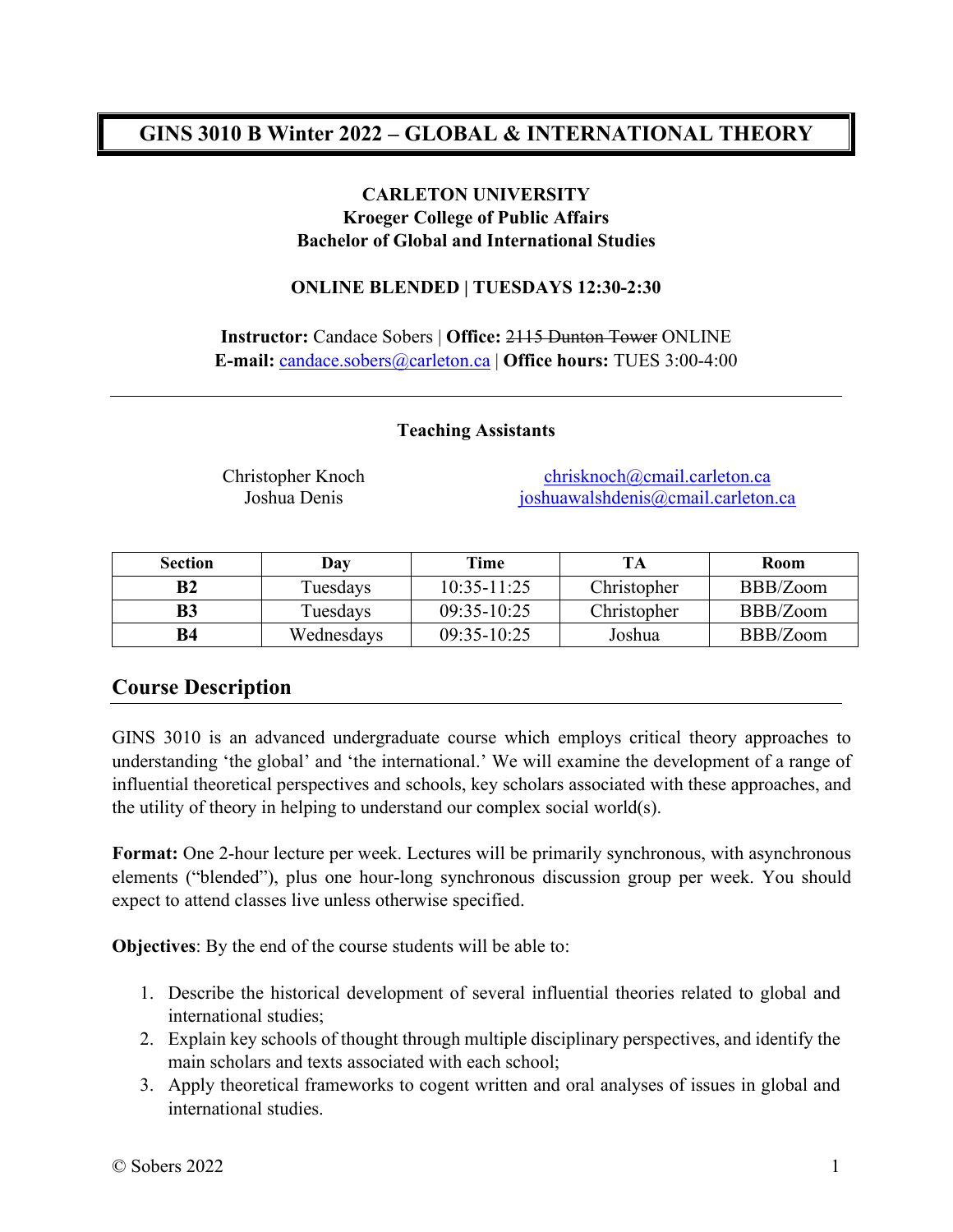## **GINS 3010 B Winter 2022 – GLOBAL & INTERNATIONAL THEORY**

#### **CARLETON UNIVERSITY Kroeger College of Public Affairs Bachelor of Global and International Studies**

#### **ONLINE BLENDED | TUESDAYS 12:30-2:30**

**Instructor:** Candace Sobers | **Office:** 2115 Dunton Tower ONLINE **E-mail:** [candace.sobers@carleton.ca](mailto:candace.sobers@carleton.ca) | **Office hours:** TUES 3:00-4:00

#### **Teaching Assistants**

Christopher Knoch [chrisknoch@cmail.carleton.ca](mailto:chrisknoch@cmail.carleton.ca) Joshua Denis [joshuawalshdenis@cmail.carleton.ca](mailto:joshuawalshdenis@cmail.carleton.ca)

| <b>Section</b> | Day        | Time            | TA          | <b>Room</b> |
|----------------|------------|-----------------|-------------|-------------|
| B <sub>2</sub> | Tuesdays   | $10:35 - 11:25$ | Christopher | BBB/Zoom    |
| B3             | Tuesdays   | $09:35-10:25$   | Christopher | BBB/Zoom    |
| B4             | Wednesdays | $09:35-10:25$   | Joshua      | BBB/Zoom    |

## **Course Description**

GINS 3010 is an advanced undergraduate course which employs critical theory approaches to understanding 'the global' and 'the international.' We will examine the development of a range of influential theoretical perspectives and schools, key scholars associated with these approaches, and the utility of theory in helping to understand our complex social world(s).

**Format:** One 2-hour lecture per week. Lectures will be primarily synchronous, with asynchronous elements ("blended"), plus one hour-long synchronous discussion group per week. You should expect to attend classes live unless otherwise specified.

**Objectives**: By the end of the course students will be able to:

- 1. Describe the historical development of several influential theories related to global and international studies;
- 2. Explain key schools of thought through multiple disciplinary perspectives, and identify the main scholars and texts associated with each school;
- 3. Apply theoretical frameworks to cogent written and oral analyses of issues in global and international studies.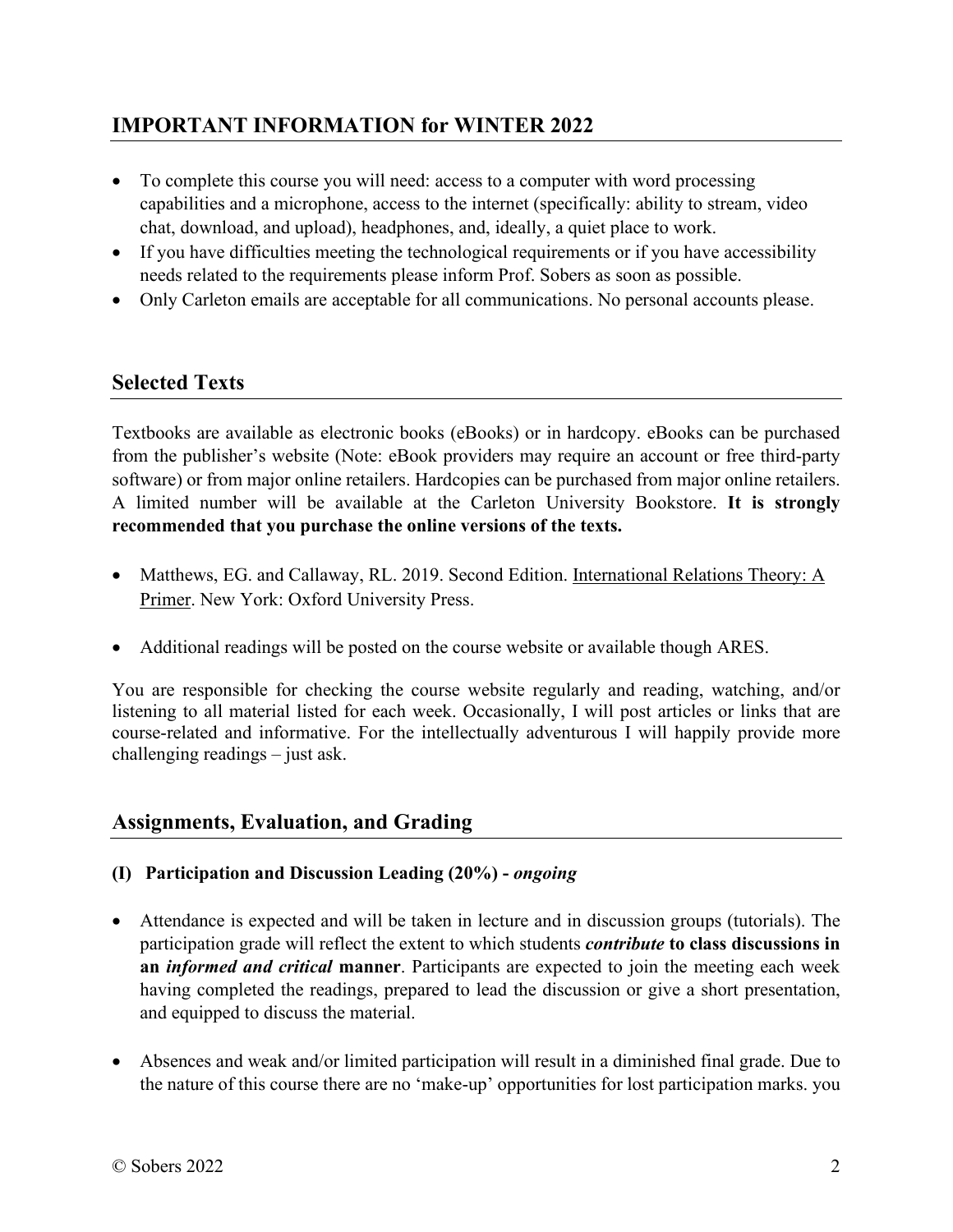## **IMPORTANT INFORMATION for WINTER 2022**

- To complete this course you will need: access to a computer with word processing capabilities and a microphone, access to the internet (specifically: ability to stream, video chat, download, and upload), headphones, and, ideally, a quiet place to work.
- If you have difficulties meeting the technological requirements or if you have accessibility needs related to the requirements please inform Prof. Sobers as soon as possible.
- Only Carleton emails are acceptable for all communications. No personal accounts please.

## **Selected Texts**

Textbooks are available as electronic books (eBooks) or in hardcopy. eBooks can be purchased from the publisher's website (Note: eBook providers may require an account or free third-party software) or from major online retailers. Hardcopies can be purchased from major online retailers. A limited number will be available at the Carleton University Bookstore. **It is strongly recommended that you purchase the online versions of the texts.** 

- Matthews, EG. and Callaway, RL. 2019. Second Edition. International Relations Theory: A Primer. New York: Oxford University Press.
- Additional readings will be posted on the course website or available though ARES.

You are responsible for checking the course website regularly and reading, watching, and/or listening to all material listed for each week. Occasionally, I will post articles or links that are course-related and informative. For the intellectually adventurous I will happily provide more challenging readings – just ask.

## **Assignments, Evaluation, and Grading**

- **(I) Participation and Discussion Leading (20%) -** *ongoing*
- Attendance is expected and will be taken in lecture and in discussion groups (tutorials). The participation grade will reflect the extent to which students *contribute* **to class discussions in an** *informed and critical* **manner**. Participants are expected to join the meeting each week having completed the readings, prepared to lead the discussion or give a short presentation, and equipped to discuss the material.
- Absences and weak and/or limited participation will result in a diminished final grade. Due to the nature of this course there are no 'make-up' opportunities for lost participation marks. you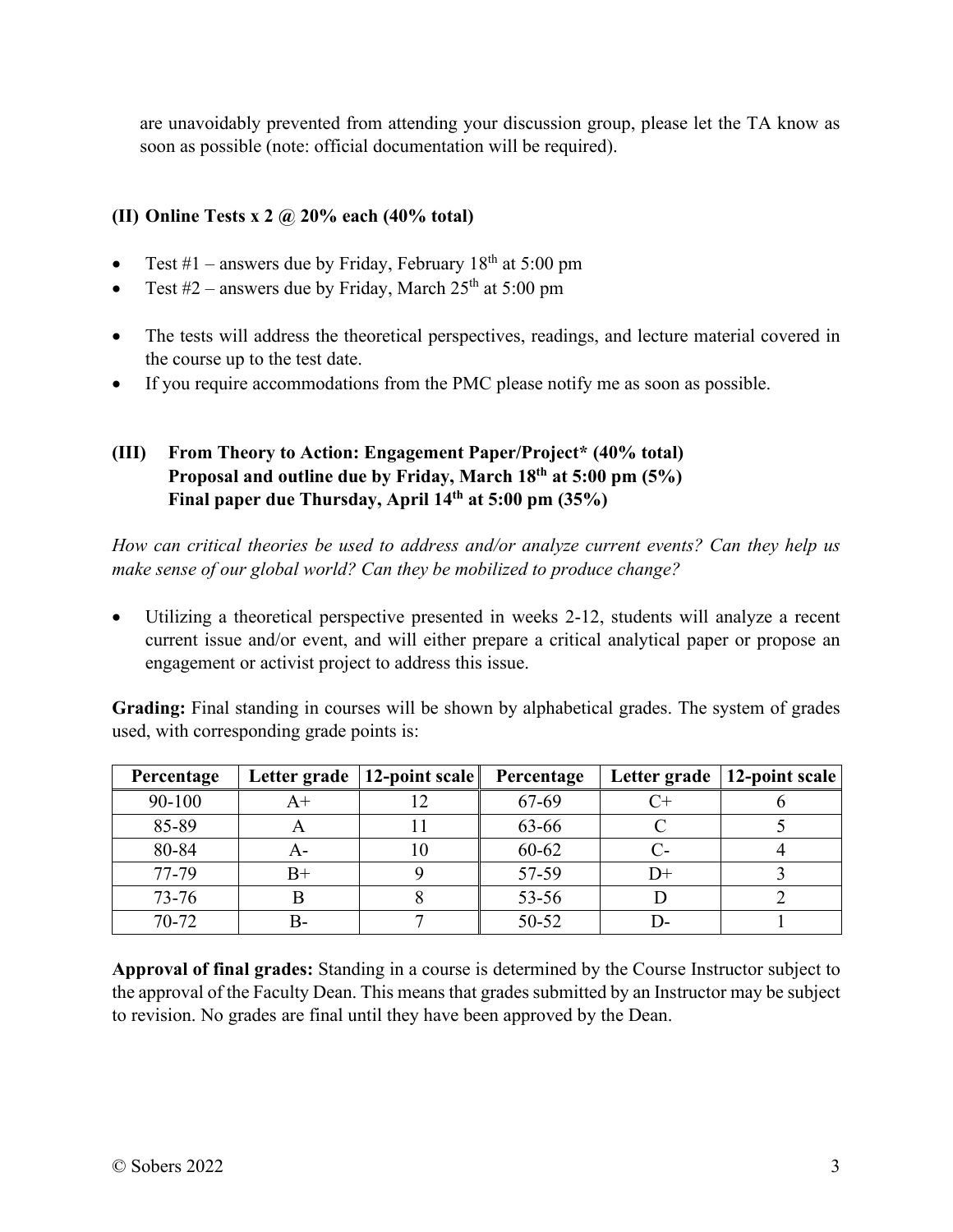are unavoidably prevented from attending your discussion group, please let the TA know as soon as possible (note: official documentation will be required).

#### **(II) Online Tests x 2 @ 20% each (40% total)**

- Test  $#1$  answers due by Friday, February 18<sup>th</sup> at 5:00 pm
- Test  $#2$  answers due by Friday, March  $25<sup>th</sup>$  at  $5:00$  pm
- The tests will address the theoretical perspectives, readings, and lecture material covered in the course up to the test date.
- If you require accommodations from the PMC please notify me as soon as possible.

#### **(III) From Theory to Action: Engagement Paper/Project\* (40% total) Proposal and outline due by Friday, March 18th at 5:00 pm (5%) Final paper due Thursday, April 14th at 5:00 pm (35%)**

*How can critical theories be used to address and/or analyze current events? Can they help us make sense of our global world? Can they be mobilized to produce change?* 

 Utilizing a theoretical perspective presented in weeks 2-12, students will analyze a recent current issue and/or event, and will either prepare a critical analytical paper or propose an engagement or activist project to address this issue.

**Grading:** Final standing in courses will be shown by alphabetical grades. The system of grades used, with corresponding grade points is:

| Percentage |    | Letter grade   12-point scale | Percentage |    | Letter grade   12-point scale |
|------------|----|-------------------------------|------------|----|-------------------------------|
| 90-100     |    |                               | 67-69      |    |                               |
| 85-89      |    |                               | 63-66      |    |                               |
| 80-84      |    |                               | 60-62      | С- |                               |
| 77-79      | B+ |                               | 57-59      | D+ |                               |
| $73 - 76$  |    |                               | 53-56      |    |                               |
| 70-72      |    |                               | 50-52      |    |                               |

**Approval of final grades:** Standing in a course is determined by the Course Instructor subject to the approval of the Faculty Dean. This means that grades submitted by an Instructor may be subject to revision. No grades are final until they have been approved by the Dean.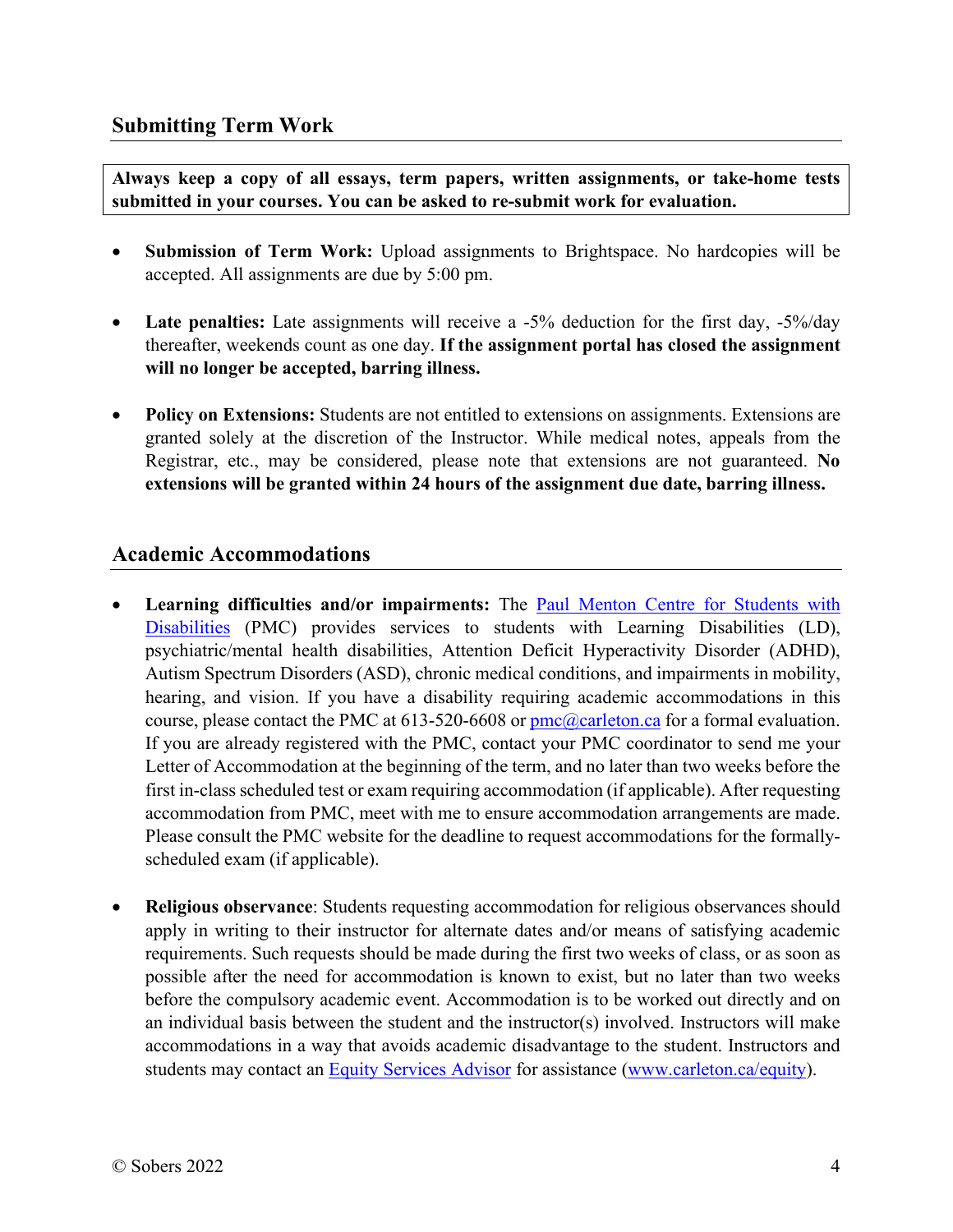**Always keep a copy of all essays, term papers, written assignments, or take-home tests submitted in your courses. You can be asked to re-submit work for evaluation.** 

- **Submission of Term Work:** Upload assignments to Brightspace. No hardcopies will be accepted. All assignments are due by 5:00 pm.
- **Late penalties:** Late assignments will receive a -5% deduction for the first day, -5%/day thereafter, weekends count as one day. **If the assignment portal has closed the assignment will no longer be accepted, barring illness.**
- **Policy on Extensions:** Students are not entitled to extensions on assignments. Extensions are granted solely at the discretion of the Instructor. While medical notes, appeals from the Registrar, etc., may be considered, please note that extensions are not guaranteed. **No extensions will be granted within 24 hours of the assignment due date, barring illness.**

#### **Academic Accommodations**

- **Learning difficulties and/or impairments:** The [Paul Menton Centre for Students with](https://carleton.ca/pmc/)  [Disabilities](https://carleton.ca/pmc/) (PMC) provides services to students with Learning Disabilities (LD), psychiatric/mental health disabilities, Attention Deficit Hyperactivity Disorder (ADHD), Autism Spectrum Disorders (ASD), chronic medical conditions, and impairments in mobility, hearing, and vision. If you have a disability requiring academic accommodations in this course, please contact the PMC at  $613-520-6608$  or  $pmc@carleton.ca$  for a formal evaluation. If you are already registered with the PMC, contact your PMC coordinator to send me your Letter of Accommodation at the beginning of the term, and no later than two weeks before the first in-class scheduled test or exam requiring accommodation (if applicable). After requesting accommodation from PMC, meet with me to ensure accommodation arrangements are made. Please consult the PMC website for the deadline to request accommodations for the formallyscheduled exam (if applicable).
- **Religious observance**: Students requesting accommodation for religious observances should apply in writing to their instructor for alternate dates and/or means of satisfying academic requirements. Such requests should be made during the first two weeks of class, or as soon as possible after the need for accommodation is known to exist, but no later than two weeks before the compulsory academic event. Accommodation is to be worked out directly and on an individual basis between the student and the instructor(s) involved. Instructors will make accommodations in a way that avoids academic disadvantage to the student. Instructors and students may contact an [Equity Services Advisor](http://carleton.ca/equity/) for assistance [\(www.carleton.ca/equity\)](http://www.carleton.ca/equity).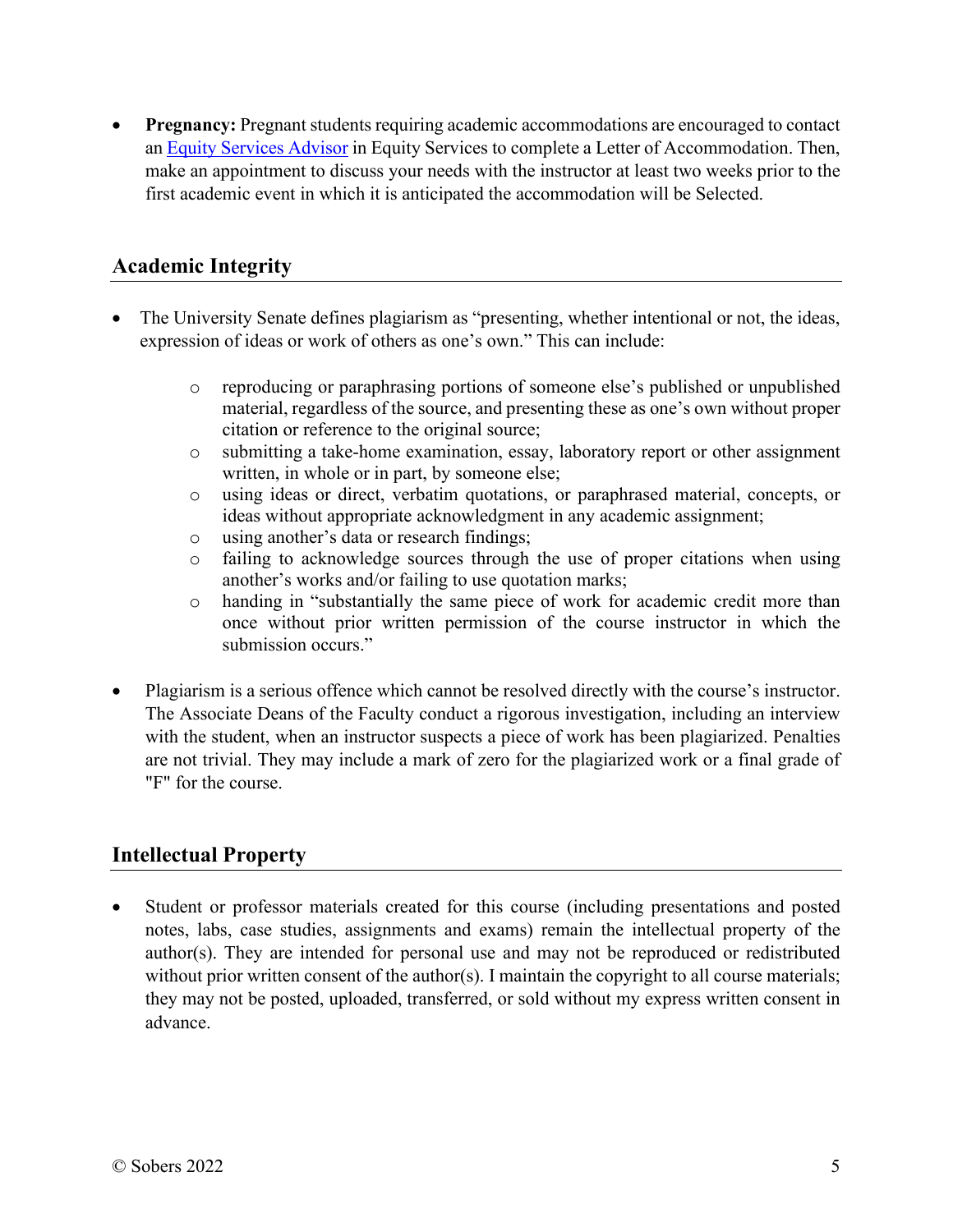**Pregnancy:** Pregnant students requiring academic accommodations are encouraged to contact an [Equity Services Advisor](http://carleton.ca/equity/) in Equity Services to complete a Letter of Accommodation. Then, make an appointment to discuss your needs with the instructor at least two weeks prior to the first academic event in which it is anticipated the accommodation will be Selected.

#### **Academic Integrity**

- The University Senate defines plagiarism as "presenting, whether intentional or not, the ideas, expression of ideas or work of others as one's own." This can include:
	- o reproducing or paraphrasing portions of someone else's published or unpublished material, regardless of the source, and presenting these as one's own without proper citation or reference to the original source;
	- o submitting a take-home examination, essay, laboratory report or other assignment written, in whole or in part, by someone else;
	- o using ideas or direct, verbatim quotations, or paraphrased material, concepts, or ideas without appropriate acknowledgment in any academic assignment;
	- o using another's data or research findings;
	- o failing to acknowledge sources through the use of proper citations when using another's works and/or failing to use quotation marks;
	- o handing in "substantially the same piece of work for academic credit more than once without prior written permission of the course instructor in which the submission occurs."
- Plagiarism is a serious offence which cannot be resolved directly with the course's instructor. The Associate Deans of the Faculty conduct a rigorous investigation, including an interview with the student, when an instructor suspects a piece of work has been plagiarized. Penalties are not trivial. They may include a mark of zero for the plagiarized work or a final grade of "F" for the course.

## **Intellectual Property**

 Student or professor materials created for this course (including presentations and posted notes, labs, case studies, assignments and exams) remain the intellectual property of the author(s). They are intended for personal use and may not be reproduced or redistributed without prior written consent of the author(s). I maintain the copyright to all course materials; they may not be posted, uploaded, transferred, or sold without my express written consent in advance.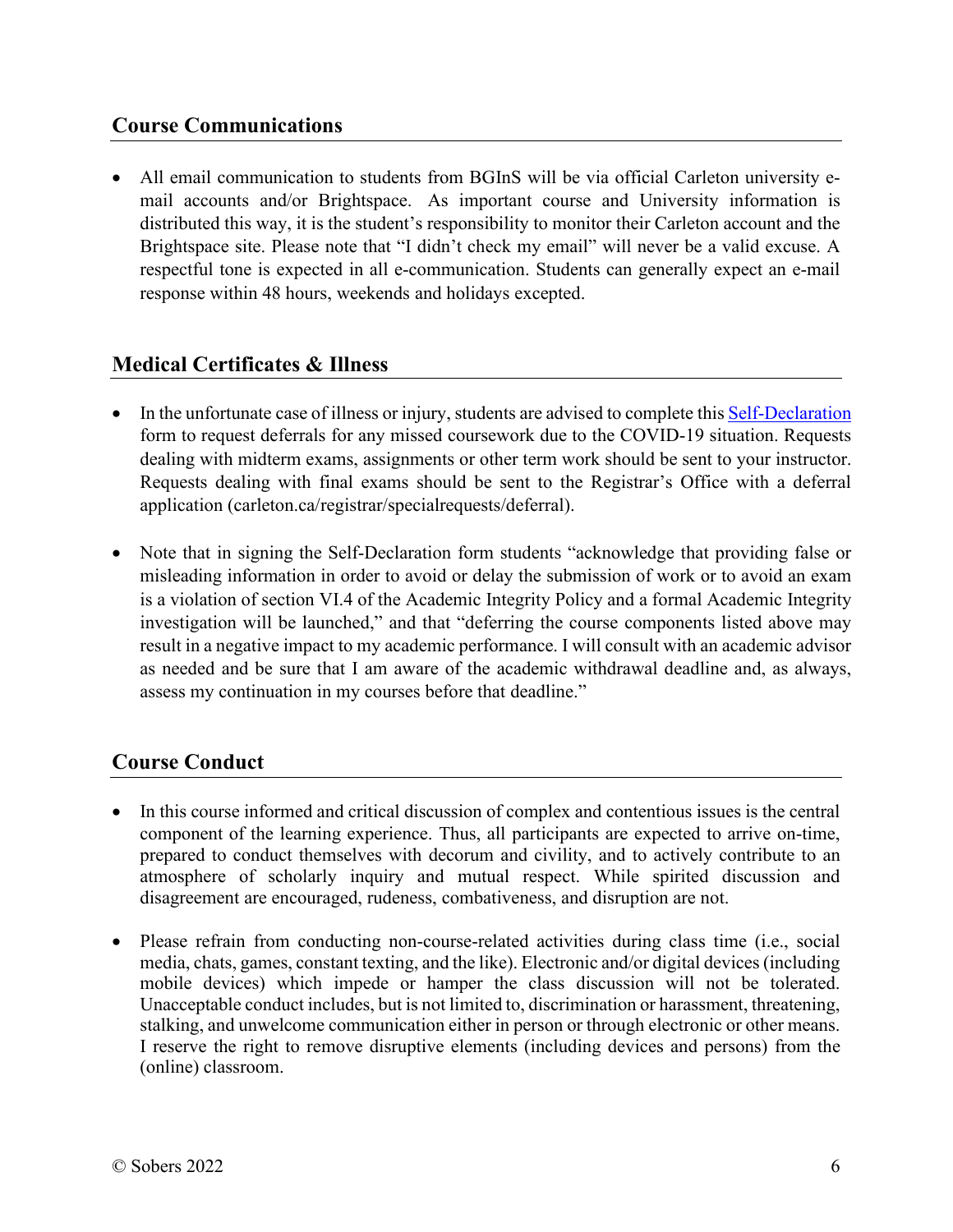## **Course Communications**

 All email communication to students from BGInS will be via official Carleton university email accounts and/or Brightspace. As important course and University information is distributed this way, it is the student's responsibility to monitor their Carleton account and the Brightspace site. Please note that "I didn't check my email" will never be a valid excuse. A respectful tone is expected in all e-communication. Students can generally expect an e-mail response within 48 hours, weekends and holidays excepted.

#### **Medical Certificates & Illness**

- In the unfortunate case of illness or injury, students are advised to complete this Self-Declaration form to request deferrals for any missed coursework due to the COVID-19 situation. Requests dealing with midterm exams, assignments or other term work should be sent to your instructor. Requests dealing with final exams should be sent to the Registrar's Office with a deferral application (carleton.ca/registrar/specialrequests/deferral).
- Note that in signing the Self-Declaration form students "acknowledge that providing false or misleading information in order to avoid or delay the submission of work or to avoid an exam is a violation of section VI.4 of the Academic Integrity Policy and a formal Academic Integrity investigation will be launched," and that "deferring the course components listed above may result in a negative impact to my academic performance. I will consult with an academic advisor as needed and be sure that I am aware of the academic withdrawal deadline and, as always, assess my continuation in my courses before that deadline."

## **Course Conduct**

- In this course informed and critical discussion of complex and contentious issues is the central component of the learning experience. Thus, all participants are expected to arrive on-time, prepared to conduct themselves with decorum and civility, and to actively contribute to an atmosphere of scholarly inquiry and mutual respect. While spirited discussion and disagreement are encouraged, rudeness, combativeness, and disruption are not.
- Please refrain from conducting non-course-related activities during class time (i.e., social media, chats, games, constant texting, and the like). Electronic and/or digital devices (including mobile devices) which impede or hamper the class discussion will not be tolerated. Unacceptable conduct includes, but is not limited to, discrimination or harassment, threatening, stalking, and unwelcome communication either in person or through electronic or other means. I reserve the right to remove disruptive elements (including devices and persons) from the (online) classroom.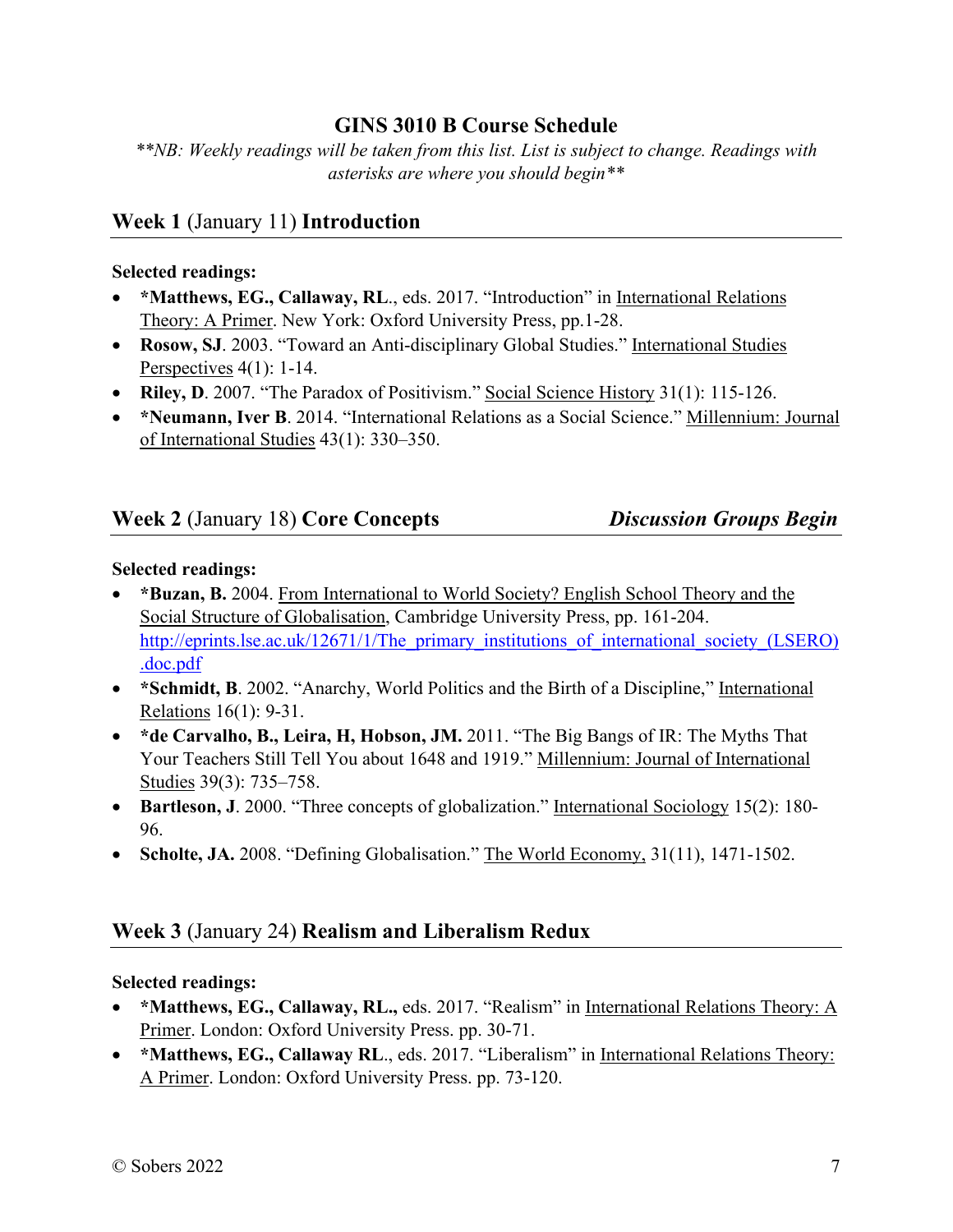## **GINS 3010 B Course Schedule**

*\*\*NB: Weekly readings will be taken from this list. List is subject to change. Readings with asterisks are where you should begin\*\** 

## **Week 1** (January 11) **Introduction**

#### **Selected readings:**

- \*Matthews, EG., Callaway, RL., eds. 2017. "Introduction" in International Relations Theory: A Primer. New York: Oxford University Press, pp.1-28.
- **Rosow, SJ**. 2003. "Toward an Anti-disciplinary Global Studies." International Studies Perspectives 4(1): 1-14.
- **Riley, D**. 2007. "The Paradox of Positivism." Social Science History 31(1): 115-126.
- **\*Neumann, Iver B**. 2014. "International Relations as a Social Science." Millennium: Journal of International Studies 43(1): 330–350.

## **Week 2** (January 18) **Core Concepts** *Discussion Groups Begin*

#### **Selected readings:**

- **\*Buzan, B.** 2004. From International to World Society? English School Theory and the Social Structure of Globalisation, Cambridge University Press, pp. 161-204. [http://eprints.lse.ac.uk/12671/1/The\\_primary\\_institutions\\_of\\_international\\_society\\_\(LSERO\)](http://eprints.lse.ac.uk/12671/1/The_primary_institutions_of_international_society_(LSERO).doc.pdf) [.doc.pdf](http://eprints.lse.ac.uk/12671/1/The_primary_institutions_of_international_society_(LSERO).doc.pdf)
- **\*Schmidt, B**. 2002. "Anarchy, World Politics and the Birth of a Discipline," International Relations 16(1): 9-31.
- **\*de Carvalho, B., Leira, H, Hobson, JM.** 2011. "The Big Bangs of IR: The Myths That Your Teachers Still Tell You about 1648 and 1919." Millennium: Journal of International Studies 39(3): 735–758.
- **Bartleson, J**. 2000. "Three concepts of globalization." International Sociology 15(2): 180-96.
- Scholte, JA. 2008. "Defining Globalisation." The World Economy, 31(11), 1471-1502.

## **Week 3** (January 24) **Realism and Liberalism Redux**

#### **Selected readings:**

- **\*Matthews, EG., Callaway, RL.,** eds. 2017. "Realism" in International Relations Theory: A Primer. London: Oxford University Press. pp. 30-71.
- **\*Matthews, EG., Callaway RL**., eds. 2017. "Liberalism" in International Relations Theory: A Primer. London: Oxford University Press. pp. 73-120.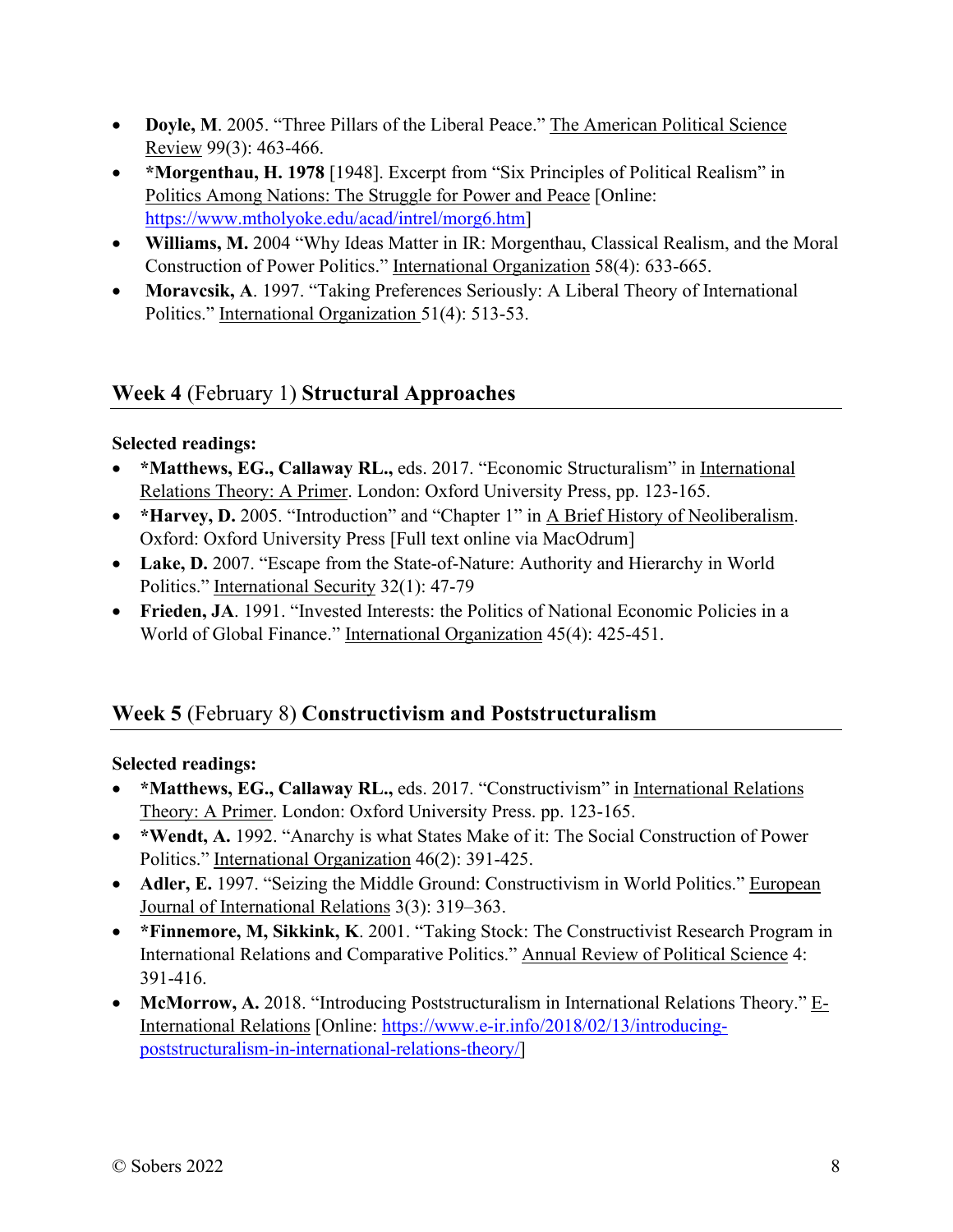- **Doyle, M**. 2005. "Three Pillars of the Liberal Peace." The American Political Science Review 99(3): 463-466.
- **\*Morgenthau, H. 1978** [1948]. Excerpt from "Six Principles of Political Realism" in Politics Among Nations: The Struggle for Power and Peace [Online: [https://www.mtholyoke.edu/acad/intrel/morg6.htm\]](https://www.mtholyoke.edu/acad/intrel/morg6.htm)
- **Williams, M.** 2004 "Why Ideas Matter in IR: Morgenthau, Classical Realism, and the Moral Construction of Power Politics." International Organization 58(4): 633-665.
- **Moravcsik, A**. 1997. "Taking Preferences Seriously: A Liberal Theory of International Politics." International Organization 51(4): 513-53.

## **Week 4** (February 1) **Structural Approaches**

#### **Selected readings:**

- **\*Matthews, EG., Callaway RL.,** eds. 2017. "Economic Structuralism" in International Relations Theory: A Primer. London: Oxford University Press, pp. 123-165.
- **\*Harvey, D.** 2005. "Introduction" and "Chapter 1" in A Brief History of Neoliberalism. Oxford: Oxford University Press [Full text online via MacOdrum]
- **Lake, D.** 2007. "Escape from the State-of-Nature: Authority and Hierarchy in World Politics." International Security 32(1): 47-79
- **Frieden, JA**. 1991. "Invested Interests: the Politics of National Economic Policies in a World of Global Finance." International Organization 45(4): 425-451.

## **Week 5** (February 8) **Constructivism and Poststructuralism**

#### **Selected readings:**

- **\*Matthews, EG., Callaway RL.,** eds. 2017. "Constructivism" in International Relations Theory: A Primer. London: Oxford University Press. pp. 123-165.
- **\*Wendt, A.** 1992. "Anarchy is what States Make of it: The Social Construction of Power Politics." International Organization 46(2): 391-425.
- **Adler, E.** 1997. "Seizing the Middle Ground: Constructivism in World Politics." European Journal of International Relations 3(3): 319–363.
- **\*Finnemore, M, Sikkink, K**. 2001. "Taking Stock: The Constructivist Research Program in International Relations and Comparative Politics." Annual Review of Political Science 4: 391-416.
- **McMorrow, A.** 2018. "Introducing Poststructuralism in International Relations Theory." E-International Relations [Online: [https://www.e-ir.info/2018/02/13/introducing](https://www.e-ir.info/2018/02/13/introducing-poststructuralism-in-international-relations-theory/)[poststructuralism-in-international-relations-theory/\]](https://www.e-ir.info/2018/02/13/introducing-poststructuralism-in-international-relations-theory/)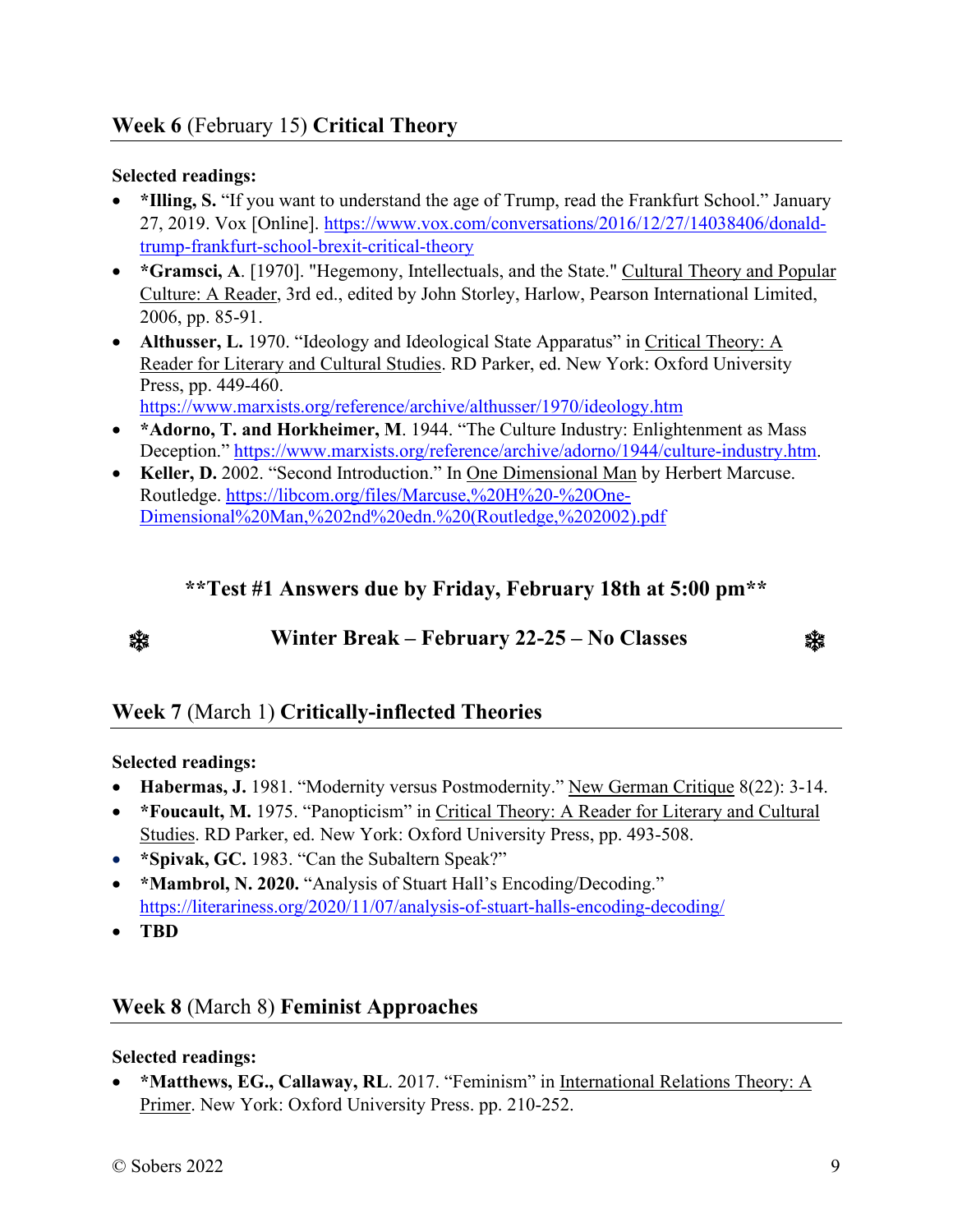#### **Selected readings:**

- **\*Illing, S.** "If you want to understand the age of Trump, read the Frankfurt School." January 27, 2019. Vox [Online]. [https://www.vox.com/conversations/2016/12/27/14038406/donald](https://www.vox.com/conversations/2016/12/27/14038406/donald-trump-frankfurt-school-brexit-critical-theory)[trump-frankfurt-school-brexit-critical-theory](https://www.vox.com/conversations/2016/12/27/14038406/donald-trump-frankfurt-school-brexit-critical-theory)
- **\*Gramsci, A**. [1970]. "Hegemony, Intellectuals, and the State." Cultural Theory and Popular Culture: A Reader, 3rd ed., edited by John Storley, Harlow, Pearson International Limited, 2006, pp. 85-91.
- **Althusser, L.** 1970. "Ideology and Ideological State Apparatus" in Critical Theory: A Reader for Literary and Cultural Studies. RD Parker, ed. New York: Oxford University Press, pp. 449-460.

<https://www.marxists.org/reference/archive/althusser/1970/ideology.htm>

- **\*Adorno, T. and Horkheimer, M**. 1944. "The Culture Industry: Enlightenment as Mass Deception." [https://www.marxists.org/reference/archive/adorno/1944/culture-industry.htm.](https://www.marxists.org/reference/archive/adorno/1944/culture-industry.htm)
- **Keller, D.** 2002. "Second Introduction." In One Dimensional Man by Herbert Marcuse. Routledge. [https://libcom.org/files/Marcuse,%20H%20-%20One-](https://libcom.org/files/Marcuse,%20H%20-%20One-Dimensional%20Man,%202nd%20edn.%20(Routledge,%202002).pdf)[Dimensional%20Man,%202nd%20edn.%20\(Routledge,%202002\).pdf](https://libcom.org/files/Marcuse,%20H%20-%20One-Dimensional%20Man,%202nd%20edn.%20(Routledge,%202002).pdf)

## **\*\*Test #1 Answers due by Friday, February 18th at 5:00 pm\*\***



**Winter Break – February 22-25 – No Classes** 

澲

## **Week 7** (March 1) **Critically-inflected Theories**

#### **Selected readings:**

- **Habermas, J.** 1981. "Modernity versus Postmodernity." New German Critique 8(22): 3-14.
- **\*Foucault, M.** 1975. "Panopticism" in Critical Theory: A Reader for Literary and Cultural Studies. RD Parker, ed. New York: Oxford University Press, pp. 493-508.
- **\*Spivak, GC.** 1983. "Can the Subaltern Speak?"
- \*Mambrol, N. 2020. "Analysis of Stuart Hall's Encoding/Decoding." <https://literariness.org/2020/11/07/analysis-of-stuart-halls-encoding-decoding/>
- **TBD**

## **Week 8** (March 8) **Feminist Approaches**

#### **Selected readings:**

 **\*Matthews, EG., Callaway, RL**. 2017. "Feminism" in International Relations Theory: A Primer. New York: Oxford University Press. pp. 210-252.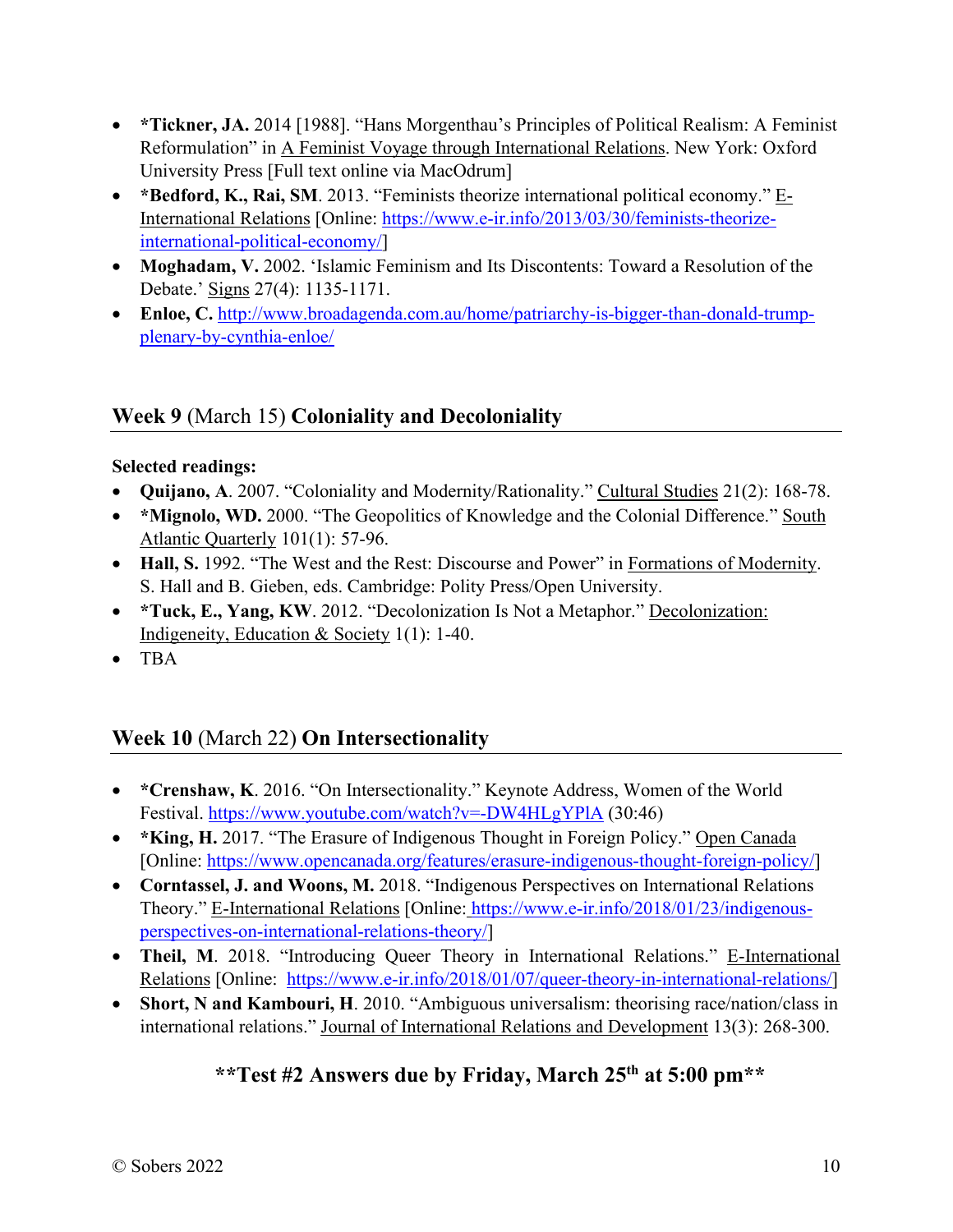- **\*Tickner, JA.** 2014 [1988]. "Hans Morgenthau's Principles of Political Realism: A Feminist Reformulation" in A Feminist Voyage through International Relations. New York: Oxford University Press [Full text online via MacOdrum]
- **\*Bedford, K., Rai, SM**. 2013. "Feminists theorize international political economy." E-International Relations [Online: [https://www.e-ir.info/2013/03/30/feminists-theorize](https://www.e-ir.info/2013/03/30/feminists-theorize-international-political-economy/)[international-political-economy/\]](https://www.e-ir.info/2013/03/30/feminists-theorize-international-political-economy/)
- **Moghadam, V.** 2002. 'Islamic Feminism and Its Discontents: Toward a Resolution of the Debate.' Signs 27(4): 1135-1171.
- **Enloe, C.** [http://www.broadagenda.com.au/home/patriarchy-is-bigger-than-donald-trump](http://www.broadagenda.com.au/home/patriarchy-is-bigger-than-donald-trump-plenary-by-cynthia-enloe/)[plenary-by-cynthia-enloe/](http://www.broadagenda.com.au/home/patriarchy-is-bigger-than-donald-trump-plenary-by-cynthia-enloe/)

# **Week 9** (March 15) **Coloniality and Decoloniality**

#### **Selected readings:**

- **Quijano, A**. 2007. "Coloniality and Modernity/Rationality." Cultural Studies 21(2): 168-78.
- \*Mignolo, WD. 2000. "The Geopolitics of Knowledge and the Colonial Difference." South Atlantic Quarterly 101(1): 57-96.
- **Hall, S.** 1992. "The West and the Rest: Discourse and Power" in Formations of Modernity. S. Hall and B. Gieben, eds. Cambridge: Polity Press/Open University.
- **\*Tuck, E., Yang, KW**. 2012. "Decolonization Is Not a Metaphor." Decolonization: Indigeneity, Education & Society 1(1): 1-40.
- TBA

# **Week 10** (March 22) **On Intersectionality**

- **\*Crenshaw, K**. 2016. "On Intersectionality." Keynote Address, Women of the World Festival.<https://www.youtube.com/watch?v=-DW4HLgYPlA>(30:46)
- **\*King, H.** 2017. "The Erasure of Indigenous Thought in Foreign Policy." Open Canada [Online: [https://www.opencanada.org/features/erasure-indigenous-thought-foreign-policy/\]](https://www.opencanada.org/features/erasure-indigenous-thought-foreign-policy/)
- **Corntassel, J. and Woons, M.** 2018. "Indigenous Perspectives on International Relations Theory." E-International Relations [Online: [https://www.e-ir.info/2018/01/23/indigenous](https://www.e-ir.info/2018/01/23/indigenous-perspectives-on-international-relations-theory/)[perspectives-on-international-relations-theory/\]](https://www.e-ir.info/2018/01/23/indigenous-perspectives-on-international-relations-theory/)
- **Theil, M**. 2018. "Introducing Queer Theory in International Relations." E-International Relations [Online: [https://www.e-ir.info/2018/01/07/queer-theory-in-international-relations/\]](https://www.e-ir.info/2018/01/07/queer-theory-in-international-relations/)
- **Short, N and Kambouri, H**. 2010. "Ambiguous universalism: theorising race/nation/class in international relations." Journal of International Relations and Development 13(3): 268-300.

# **\*\*Test #2 Answers due by Friday, March 25th at 5:00 pm\*\***